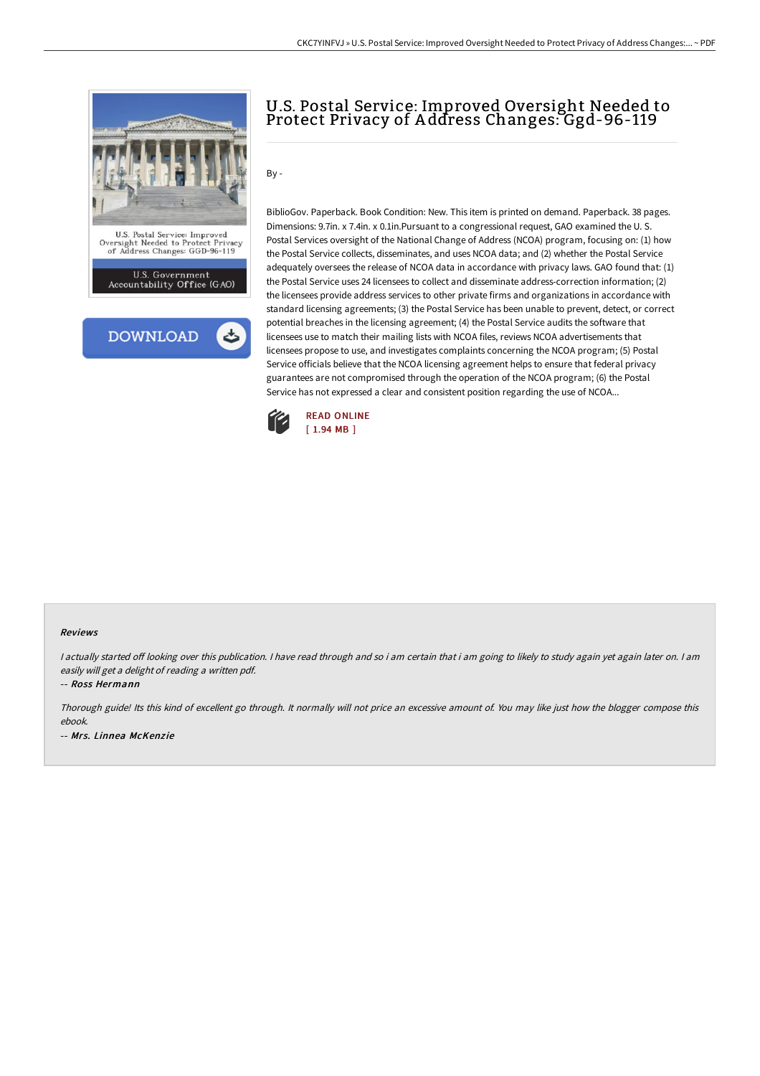

# U.S. Postal Service: Improved Oversight Needed to Protect Privacy of A ddress Changes: Ggd-96-119

By -

BiblioGov. Paperback. Book Condition: New. This item is printed on demand. Paperback. 38 pages. Dimensions: 9.7in. x 7.4in. x 0.1in.Pursuant to a congressional request, GAO examined the U. S. Postal Services oversight of the National Change of Address (NCOA) program, focusing on: (1) how the Postal Service collects, disseminates, and uses NCOA data; and (2) whether the Postal Service adequately oversees the release of NCOA data in accordance with privacy laws. GAO found that: (1) the Postal Service uses 24 licensees to collect and disseminate address-correction information; (2) the licensees provide address services to other private firms and organizations in accordance with standard licensing agreements; (3) the Postal Service has been unable to prevent, detect, or correct potential breaches in the licensing agreement; (4) the Postal Service audits the software that licensees use to match their mailing lists with NCOA files, reviews NCOA advertisements that licensees propose to use, and investigates complaints concerning the NCOA program; (5) Postal Service officials believe that the NCOA licensing agreement helps to ensure that federal privacy guarantees are not compromised through the operation of the NCOA program; (6) the Postal Service has not expressed a clear and consistent position regarding the use of NCOA...



#### Reviews

I actually started off looking over this publication. I have read through and so i am certain that i am going to likely to study again yet again later on. I am easily will get <sup>a</sup> delight of reading <sup>a</sup> written pdf.

-- Ross Hermann

Thorough guide! Its this kind of excellent go through. It normally will not price an excessive amount of. You may like just how the blogger compose this ebook.

-- Mrs. Linnea McKenzie